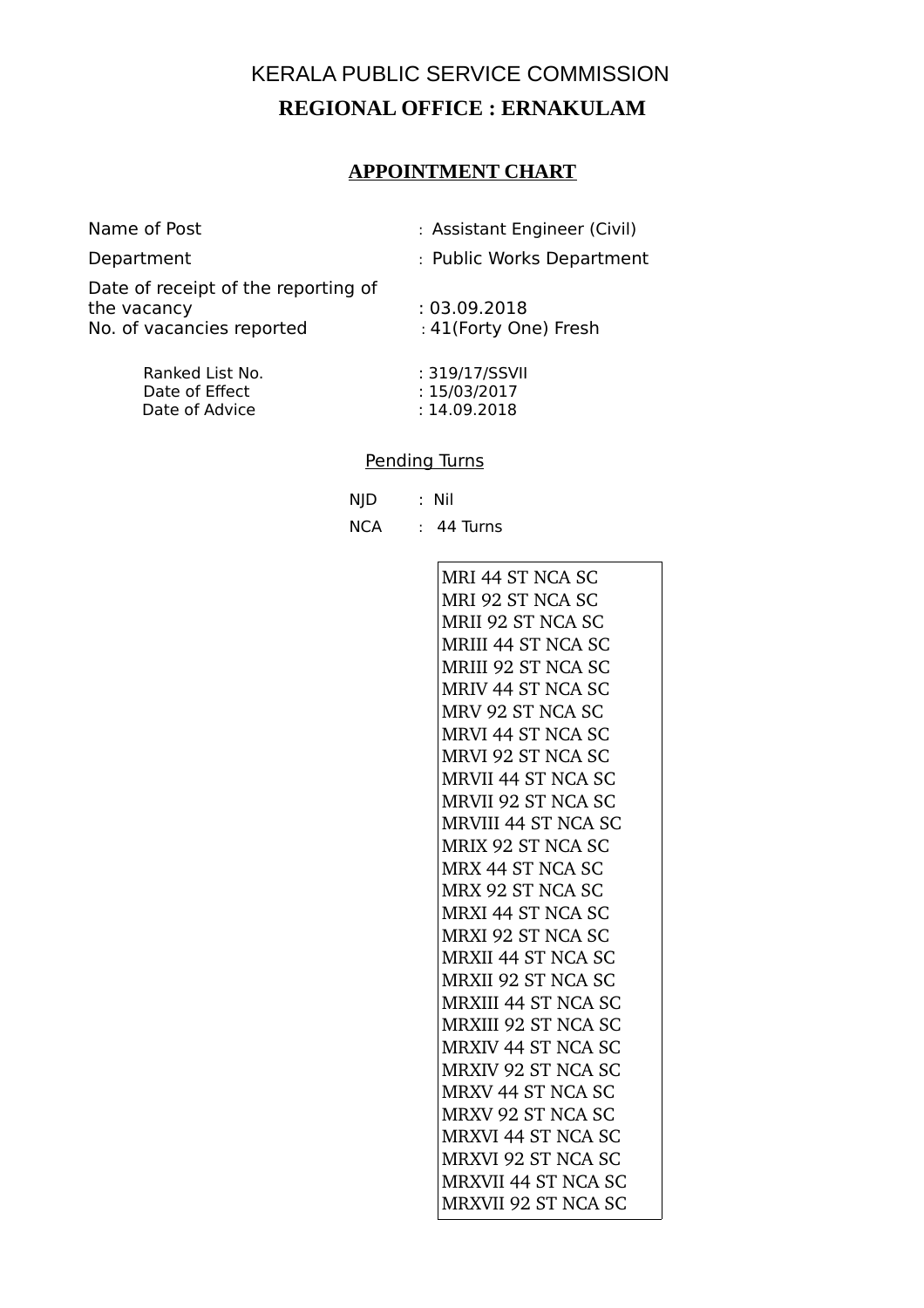# KERALA PUBLIC SERVICE COMMISSION **REGIONAL OFFICE : ERNAKULAM**

### **APPOINTMENT CHART**

| Name of Post |  |  |
|--------------|--|--|
|--------------|--|--|

: Assistant Engineer (Civil)

Department : Public Works Department

Date of receipt of the reporting of the vacancy : 03.09.2018 no vecesses,<br>No. of vacancies reported in the 41(Forty One) Fresh

| : 319/17/SSVII |
|----------------|
| : 15/03/2017   |
| : 14.09.2018   |
|                |

#### Pending Turns

|  | NJD : Nil      |
|--|----------------|
|  | NCA : 44 Turns |

MRI 44 ST NCA SC MRI 92 ST NCA SC MRII 92 ST NCA SC MRIII 44 ST NCA SC MRIII 92 ST NCA SC MRIV 44 ST NCA SC MRV 92 ST NCA SC MRVI 44 ST NCA SC MRVI 92 ST NCA SC MRVII 44 ST NCA SC MRVII 92 ST NCA SC MRVIII 44 ST NCA SC MRIX 92 ST NCA SC MRX 44 ST NCA SC MRX 92 ST NCA SC MRXI 44 ST NCA SC MRXI 92 ST NCA SC MRXII 44 ST NCA SC MRXII 92 ST NCA SC MRXIII 44 ST NCA SC MRXIII 92 ST NCA SC MRXIV 44 ST NCA SC MRXIV 92 ST NCA SC MRXV 44 ST NCA SC MRXV 92 ST NCA SC MRXVI 44 ST NCA SC MRXVI 92 ST NCA SC MRXVII 44 ST NCA SC MRXVII 92 ST NCA SC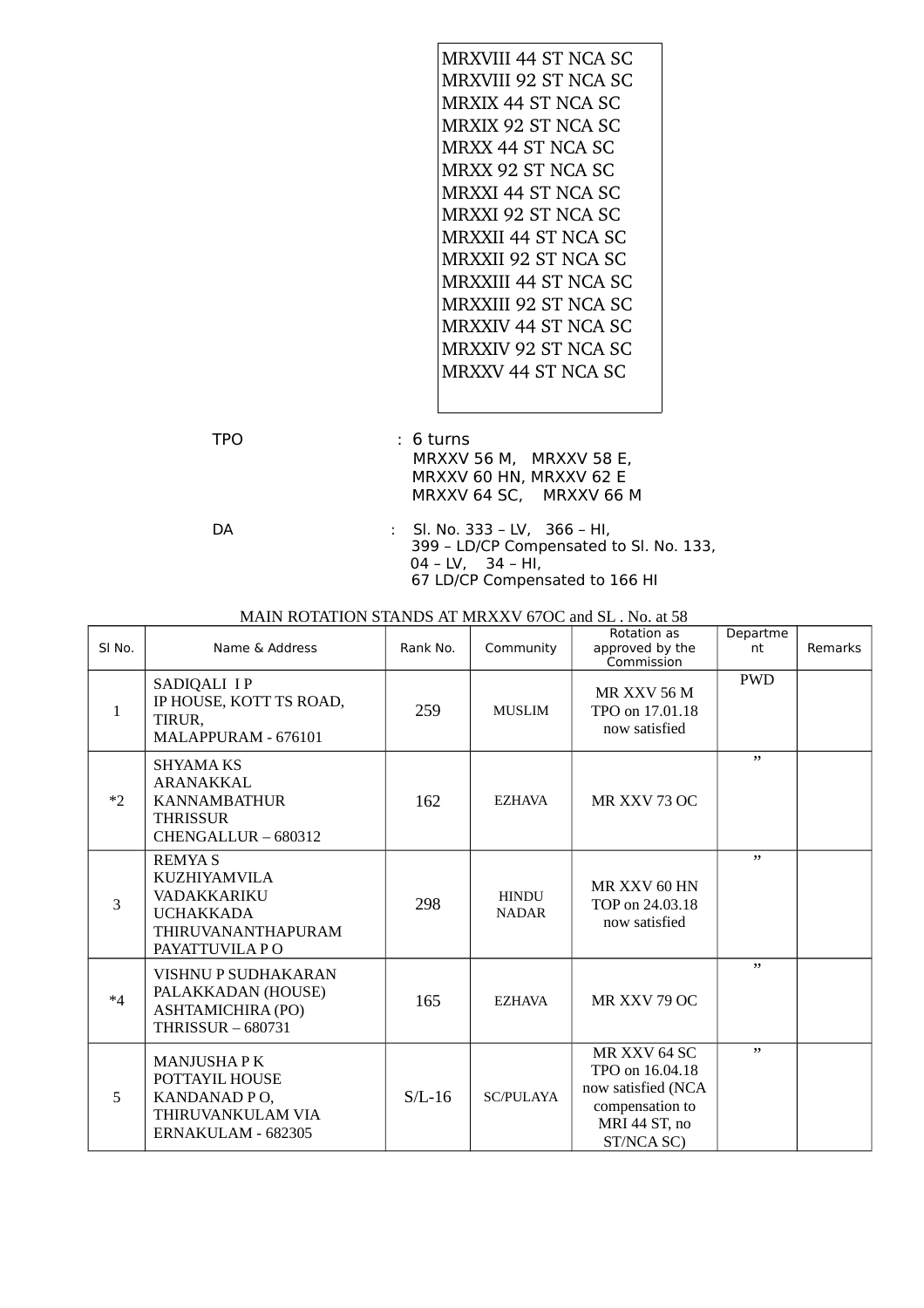| <b>MRXVIII 44 ST NCA SC</b> |
|-----------------------------|
| MRXVIII 92 ST NCA SC        |
| MRXIX 44 ST NCA SC          |
| <b>MRXIX 92 ST NCA SC</b>   |
| MRXX 44 ST NCA SC           |
| MRXX 92 ST NCA SC           |
| MRXXI 44 ST NCA SC          |
| <b>MRXXI 92 ST NCA SC</b>   |
| <b>MRXXII 44 ST NCA SC</b>  |
| <b>MRXXII 92 ST NCA SC</b>  |
| <b>MRXXIII 44 ST NCA SC</b> |
| <b>MRXXIII 92 ST NCA SC</b> |
| <b>MRXXIV 44 ST NCA SC</b>  |
| <b>MRXXIV 92 ST NCA SC</b>  |
| MRXXV 44 ST NCA SC          |
|                             |

TPO : 6 turns MRXXV 56 M, MRXXV 58 E, MRXXV 60 HN, MRXXV 62 E MRXXV 64 SC, MRXXV 66 M

DA : Sl. No. 333 – LV, 366 – HI, 399 – LD/CP Compensated to Sl. No. 133, 04 – LV, 34 – HI, 67 LD/CP Compensated to 166 HI

#### MAIN ROTATION STANDS AT MRXXV 67OC and SL . No. at 58

| SI <sub>No.</sub> | Name & Address                                                                                                         | Rank No. | Community                    | Rotation as<br>approved by the<br>Commission                                                            | Departme<br>nt | <b>Remarks</b> |
|-------------------|------------------------------------------------------------------------------------------------------------------------|----------|------------------------------|---------------------------------------------------------------------------------------------------------|----------------|----------------|
| $\mathbf{1}$      | SADIQALI I P<br>IP HOUSE, KOTT TS ROAD,<br>TIRUR.<br>MALAPPURAM - 676101                                               | 259      | <b>MUSLIM</b>                | <b>MR XXV 56 M</b><br>TPO on 17,01.18<br>now satisfied                                                  | <b>PWD</b>     |                |
| $*2$              | <b>SHYAMA KS</b><br>ARANAKKAL<br><b>KANNAMBATHUR</b><br><b>THRISSUR</b><br>CHENGALLUR - 680312                         | 162      | <b>EZHAVA</b>                | MR XXV 73 OC                                                                                            | , ,            |                |
| 3                 | <b>REMYAS</b><br><b>KUZHIYAMVILA</b><br><b>VADAKKARIKU</b><br><b>UCHAKKADA</b><br>THIRUVANANTHAPURAM<br>PAYATTUVILA PO | 298      | <b>HINDU</b><br><b>NADAR</b> | MR XXV 60 HN<br>TOP on 24,03.18<br>now satisfied                                                        | , ,            |                |
| $*4$              | VISHNU P SUDHAKARAN<br>PALAKKADAN (HOUSE)<br>ASHTAMICHIRA (PO)<br><b>THRISSUR - 680731</b>                             | 165      | <b>EZHAVA</b>                | MR XXV 79 OC                                                                                            | , ,            |                |
| 5                 | <b>MANJUSHAPK</b><br>POTTAYIL HOUSE<br>KANDANAD PO,<br>THIRUVANKULAM VIA<br>ERNAKULAM - 682305                         | $S/L-16$ | <b>SC/PULAYA</b>             | MR XXV 64 SC<br>TPO on 16,04,18<br>now satisfied (NCA<br>compensation to<br>MRI 44 ST, no<br>ST/NCA SC) | , ,            |                |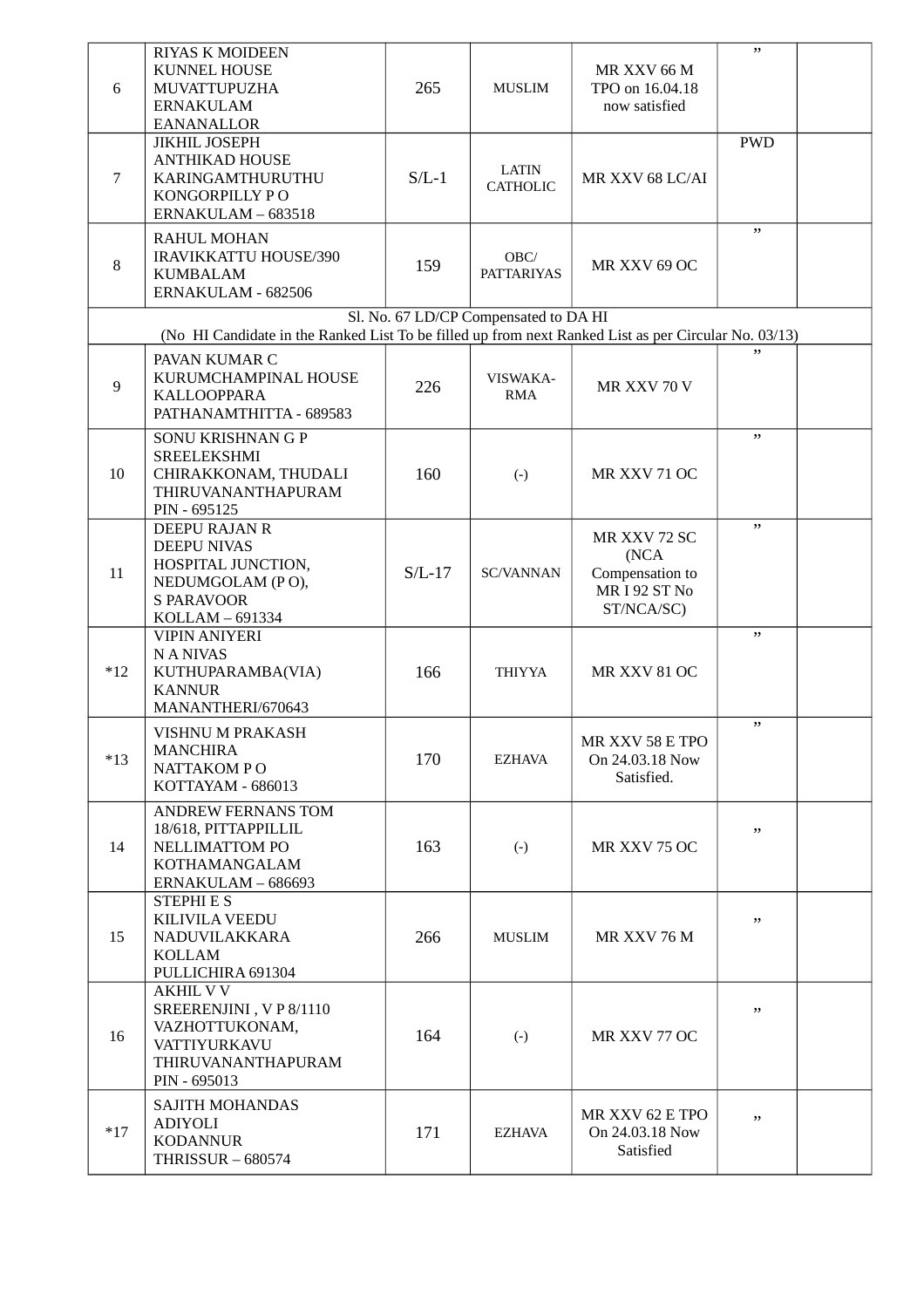|                | <b>RIYAS K MOIDEEN</b>                                                                               |          |                                       |                                    | , ,        |  |
|----------------|------------------------------------------------------------------------------------------------------|----------|---------------------------------------|------------------------------------|------------|--|
|                | <b>KUNNEL HOUSE</b>                                                                                  |          |                                       | MR XXV 66 M                        |            |  |
| 6              | MUVATTUPUZHA                                                                                         | 265      | <b>MUSLIM</b>                         | TPO on 16.04.18                    |            |  |
|                | <b>ERNAKULAM</b>                                                                                     |          |                                       | now satisfied                      |            |  |
|                | <b>EANANALLOR</b>                                                                                    |          |                                       |                                    |            |  |
|                | <b>JIKHIL JOSEPH</b>                                                                                 |          |                                       |                                    | <b>PWD</b> |  |
|                | <b>ANTHIKAD HOUSE</b>                                                                                |          | <b>LATIN</b>                          |                                    |            |  |
| 7              | KARINGAMTHURUTHU                                                                                     | $S/L-1$  | <b>CATHOLIC</b>                       | MR XXV 68 LC/AI                    |            |  |
|                | KONGORPILLY PO                                                                                       |          |                                       |                                    |            |  |
|                | ERNAKULAM - 683518                                                                                   |          |                                       |                                    |            |  |
|                | <b>RAHUL MOHAN</b>                                                                                   |          |                                       |                                    | , ,        |  |
|                | <b>IRAVIKKATTU HOUSE/390</b>                                                                         |          | OBC/                                  |                                    |            |  |
| 8              | <b>KUMBALAM</b>                                                                                      | 159      | <b>PATTARIYAS</b>                     | MR XXV 69 OC                       |            |  |
|                | ERNAKULAM - 682506                                                                                   |          |                                       |                                    |            |  |
|                |                                                                                                      |          | Sl. No. 67 LD/CP Compensated to DA HI |                                    |            |  |
|                | (No HI Candidate in the Ranked List To be filled up from next Ranked List as per Circular No. 03/13) |          |                                       |                                    |            |  |
|                |                                                                                                      |          |                                       |                                    |            |  |
|                | PAVAN KUMAR C                                                                                        |          |                                       |                                    |            |  |
| $\overline{9}$ | KURUMCHAMPINAL HOUSE                                                                                 | 226      | VISWAKA-                              | MR XXV 70 V                        |            |  |
|                | <b>KALLOOPPARA</b>                                                                                   |          | <b>RMA</b>                            |                                    |            |  |
|                | PATHANAMTHITTA - 689583                                                                              |          |                                       |                                    |            |  |
|                | SONU KRISHNAN G P                                                                                    |          |                                       |                                    | , ,        |  |
|                | <b>SREELEKSHMI</b>                                                                                   |          |                                       |                                    |            |  |
| 10             | CHIRAKKONAM, THUDALI                                                                                 | 160      | $\left( -\right)$                     | MR XXV 71 OC                       |            |  |
|                | THIRUVANANTHAPURAM                                                                                   |          |                                       |                                    |            |  |
|                | PIN - 695125                                                                                         |          |                                       |                                    | , ,        |  |
|                | DEEPU RAJAN R                                                                                        |          |                                       | MR XXV 72 SC                       |            |  |
|                | <b>DEEPU NIVAS</b><br>HOSPITAL JUNCTION,                                                             |          |                                       | (NCA)                              |            |  |
| 11             | NEDUMGOLAM (PO),                                                                                     | $S/L-17$ | <b>SC/VANNAN</b>                      | Compensation to                    |            |  |
|                | <b>S PARAVOOR</b>                                                                                    |          |                                       | MRI92 ST No                        |            |  |
|                | KOLLAM - 691334                                                                                      |          |                                       | ST/NCA/SC)                         |            |  |
|                | <b>VIPIN ANIYERI</b>                                                                                 |          |                                       |                                    | , ,        |  |
|                | <b>NANIVAS</b>                                                                                       |          |                                       |                                    |            |  |
| $*12$          | KUTHUPARAMBA(VIA)                                                                                    | 166      | <b>THIYYA</b>                         | MR XXV 81 OC                       |            |  |
|                | <b>KANNUR</b>                                                                                        |          |                                       |                                    |            |  |
|                | MANANTHERI/670643                                                                                    |          |                                       |                                    |            |  |
|                | VISHNU M PRAKASH                                                                                     |          |                                       |                                    | , ,        |  |
|                | <b>MANCHIRA</b>                                                                                      |          |                                       | MR XXV 58 E TPO                    |            |  |
| $*13$          | NATTAKOM PO                                                                                          | 170      | EZHAVA                                | On 24.03.18 Now                    |            |  |
|                | KOTTAYAM - 686013                                                                                    |          |                                       | Satisfied.                         |            |  |
|                |                                                                                                      |          |                                       |                                    |            |  |
|                | <b>ANDREW FERNANS TOM</b>                                                                            |          |                                       |                                    |            |  |
| 14             | 18/618, PITTAPPILLIL<br>NELLIMATTOM PO                                                               | 163      |                                       | MR XXV 75 OC                       | , ,        |  |
|                | KOTHAMANGALAM                                                                                        |          | $(-)$                                 |                                    |            |  |
|                | ERNAKULAM - 686693                                                                                   |          |                                       |                                    |            |  |
|                | <b>STEPHIES</b>                                                                                      |          |                                       |                                    |            |  |
|                | <b>KILIVILA VEEDU</b>                                                                                |          |                                       |                                    | ,,         |  |
| 15             | NADUVILAKKARA                                                                                        | 266      | <b>MUSLIM</b>                         | MR XXV 76 M                        |            |  |
|                | KOLLAM                                                                                               |          |                                       |                                    |            |  |
|                | PULLICHIRA 691304                                                                                    |          |                                       |                                    |            |  |
|                | <b>AKHIL V V</b>                                                                                     |          |                                       |                                    |            |  |
|                | SREERENJINI, VP8/1110                                                                                |          |                                       |                                    | ,,         |  |
| 16             | VAZHOTTUKONAM,                                                                                       | 164      | $(-)$                                 | MR XXV 77 OC                       |            |  |
|                | VATTIYURKAVU                                                                                         |          |                                       |                                    |            |  |
|                | THIRUVANANTHAPURAM                                                                                   |          |                                       |                                    |            |  |
|                | PIN - 695013                                                                                         |          |                                       |                                    |            |  |
|                | <b>SAJITH MOHANDAS</b>                                                                               |          |                                       |                                    |            |  |
| $*17$          | ADIYOLI                                                                                              | 171      | <b>EZHAVA</b>                         | MR XXV 62 E TPO<br>On 24.03.18 Now | ,,         |  |
|                | <b>KODANNUR</b>                                                                                      |          |                                       | Satisfied                          |            |  |
|                | <b>THRISSUR - 680574</b>                                                                             |          |                                       |                                    |            |  |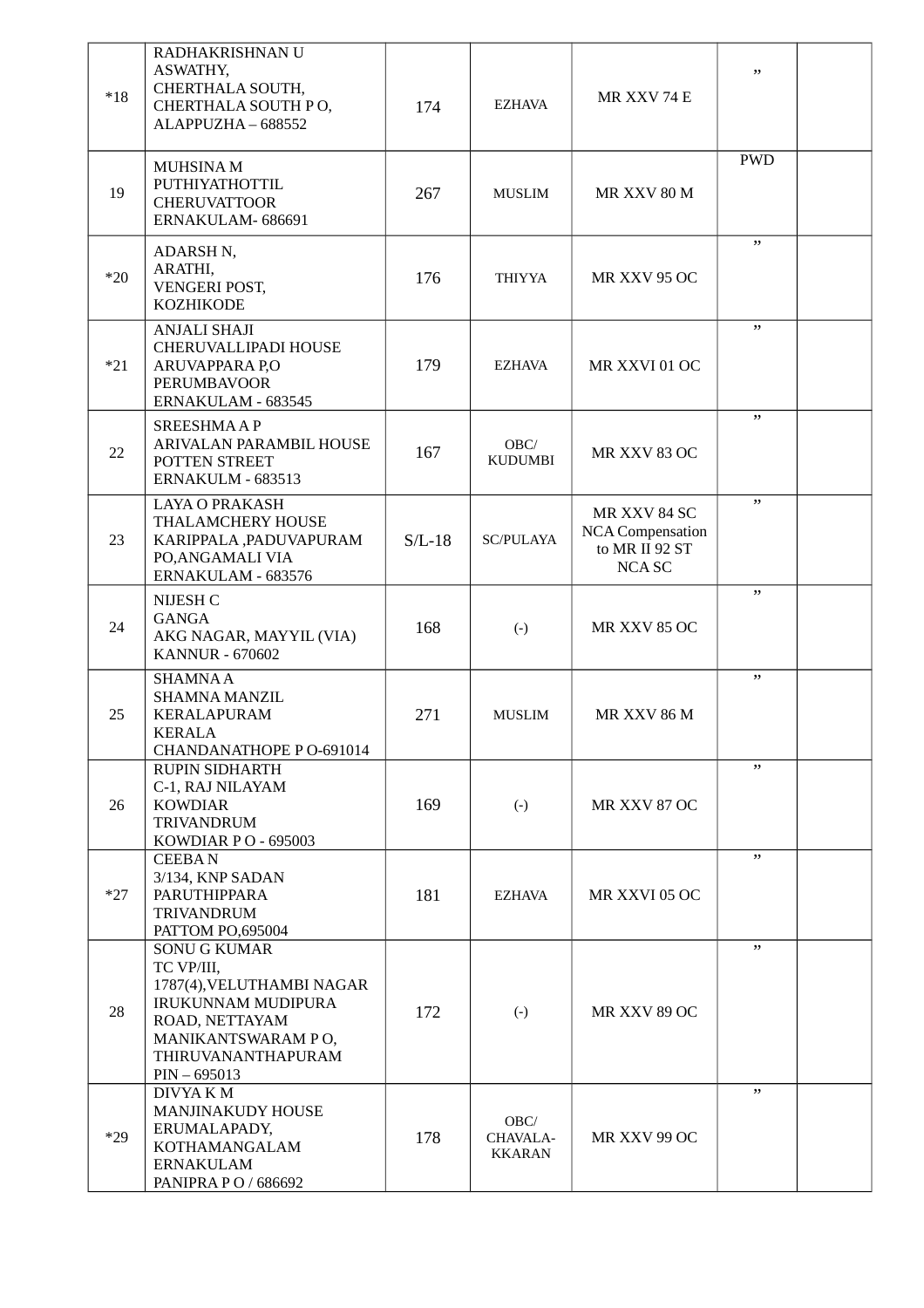| $*18$ | RADHAKRISHNAN U<br>ASWATHY,<br>CHERTHALA SOUTH,<br>CHERTHALA SOUTH PO,<br>ALAPPUZHA-688552                                                                                  | 174      | EZHAVA                     | MR XXV 74 E                                                         | ,,         |  |
|-------|-----------------------------------------------------------------------------------------------------------------------------------------------------------------------------|----------|----------------------------|---------------------------------------------------------------------|------------|--|
| 19    | MUHSINA M<br>PUTHIYATHOTTIL<br><b>CHERUVATTOOR</b><br>ERNAKULAM-686691                                                                                                      | 267      | <b>MUSLIM</b>              | MR XXV 80 M                                                         | <b>PWD</b> |  |
| $*20$ | ADARSH N,<br>ARATHI,<br>VENGERI POST,<br><b>KOZHIKODE</b>                                                                                                                   | 176      | <b>THIYYA</b>              | MR XXV 95 OC                                                        | , ,        |  |
| $*21$ | <b>ANJALI SHAJI</b><br>CHERUVALLIPADI HOUSE<br>ARUVAPPARA P,O<br><b>PERUMBAVOOR</b><br>ERNAKULAM - 683545                                                                   | 179      | EZHAVA                     | MR XXVI 01 OC                                                       | , ,        |  |
| 22    | <b>SREESHMAAP</b><br>ARIVALAN PARAMBIL HOUSE<br>POTTEN STREET<br>ERNAKULM - 683513                                                                                          | 167      | OBC/<br><b>KUDUMBI</b>     | MR XXV 83 OC                                                        | , ,        |  |
| 23    | <b>LAYA O PRAKASH</b><br>THALAMCHERY HOUSE<br>KARIPPALA, PADUVAPURAM<br>PO, ANGAMALI VIA<br>ERNAKULAM - 683576                                                              | $S/L-18$ | <b>SC/PULAYA</b>           | MR XXV 84 SC<br><b>NCA Compensation</b><br>to MR II 92 ST<br>NCA SC | , ,        |  |
| 24    | NIJESH C<br><b>GANGA</b><br>AKG NAGAR, MAYYIL (VIA)<br><b>KANNUR - 670602</b>                                                                                               | 168      | $(-)$                      | <b>MR XXV 85 OC</b>                                                 | , ,        |  |
| 25    | <b>SHAMNAA</b><br><b>SHAMNA MANZIL</b><br><b>KERALAPURAM</b><br><b>KERALA</b><br>CHANDANATHOPE PO-691014                                                                    | 271      | <b>MUSLIM</b>              | MR XXV 86 M                                                         | ,,         |  |
| 26    | <b>RUPIN SIDHARTH</b><br>C-1, RAJ NILAYAM<br><b>KOWDIAR</b><br><b>TRIVANDRUM</b><br>KOWDIAR PO - 695003                                                                     | 169      | $(-)$                      | MR XXV 87 OC                                                        | , ,        |  |
| $*27$ | <b>CEEBAN</b><br>3/134, KNP SADAN<br>PARUTHIPPARA<br><b>TRIVANDRUM</b><br>PATTOM PO,695004                                                                                  | 181      | EZHAVA                     | MR XXVI 05 OC                                                       | , ,        |  |
| 28    | <b>SONU G KUMAR</b><br>TC VP/III,<br>1787(4), VELUTHAMBI NAGAR<br><b>IRUKUNNAM MUDIPURA</b><br>ROAD, NETTAYAM<br>MANIKANTSWARAM PO,<br>THIRUVANANTHAPURAM<br>$PIN - 695013$ | 172      | $\left( -\right)$          | MR XXV 89 OC                                                        | ,,         |  |
| $*29$ | DIVYA K M<br><b>MANJINAKUDY HOUSE</b><br>ERUMALAPADY,<br>KOTHAMANGALAM<br>ERNAKULAM<br>PANIPRA P O / 686692                                                                 | 178      | OBC/<br>CHAVALA-<br>KKARAN | MR XXV 99 OC                                                        | ,,         |  |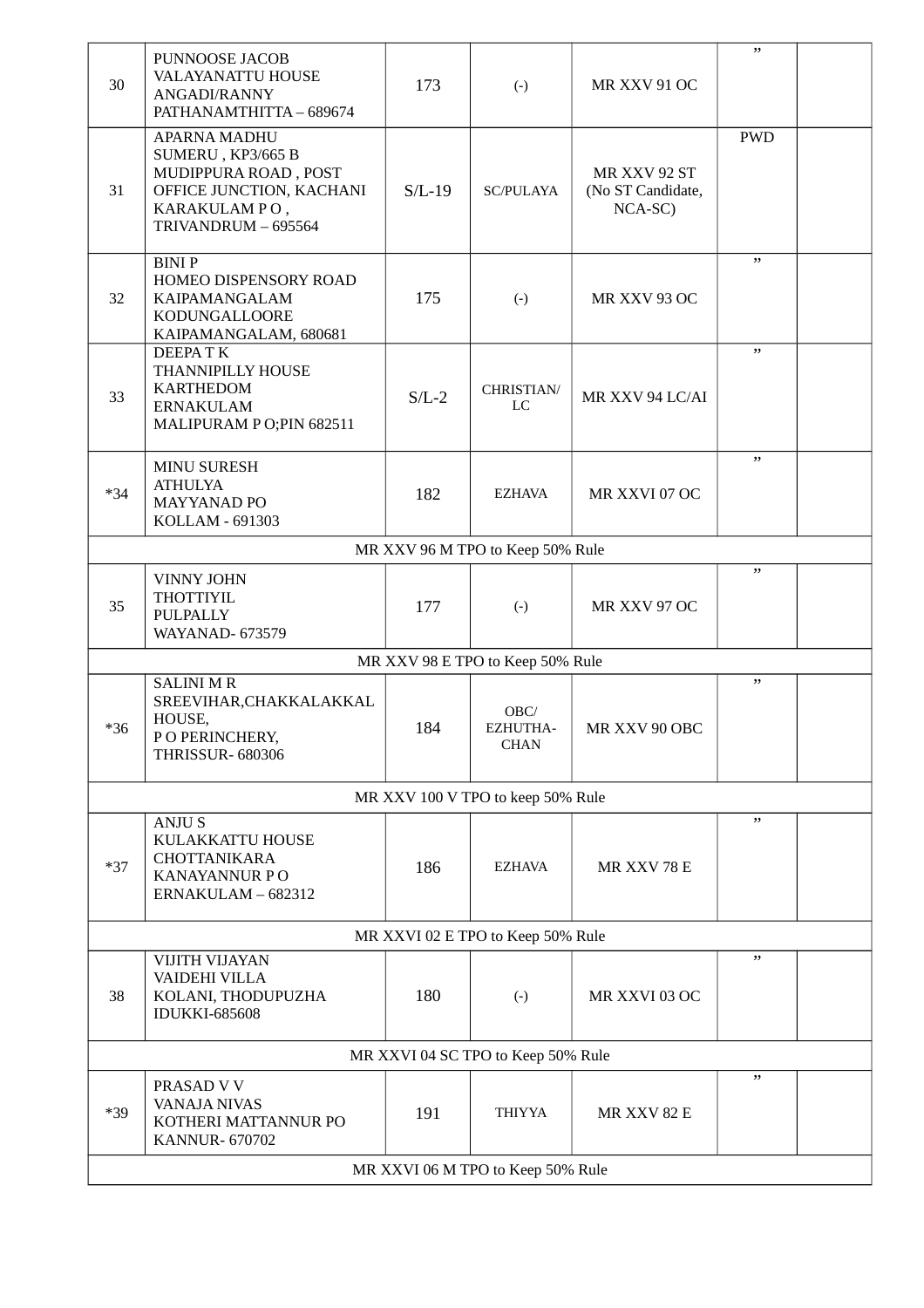| 30                                | PUNNOOSE JACOB<br><b>VALAYANATTU HOUSE</b><br>ANGADI/RANNY<br>PATHANAMTHITTA - 689674                                               | 173      | $(-)$                              | MR XXV 91 OC                                 | "          |  |  |
|-----------------------------------|-------------------------------------------------------------------------------------------------------------------------------------|----------|------------------------------------|----------------------------------------------|------------|--|--|
| 31                                | <b>APARNA MADHU</b><br>SUMERU, KP3/665 B<br>MUDIPPURA ROAD, POST<br>OFFICE JUNCTION, KACHANI<br>KARAKULAMPO,<br>TRIVANDRUM - 695564 | $S/L-19$ | <b>SC/PULAYA</b>                   | MR XXV 92 ST<br>(No ST Candidate,<br>NCA-SC) | <b>PWD</b> |  |  |
| 32                                | <b>BINIP</b><br>HOMEO DISPENSORY ROAD<br>KAIPAMANGALAM<br>KODUNGALLOORE<br>KAIPAMANGALAM, 680681                                    | 175      | $(-)$                              | MR XXV 93 OC                                 | , ,        |  |  |
| 33                                | <b>DEEPATK</b><br>THANNIPILLY HOUSE<br><b>KARTHEDOM</b><br><b>ERNAKULAM</b><br>MALIPURAM PO;PIN 682511                              | $S/L-2$  | CHRISTIAN/<br>LC                   | MR XXV 94 LC/AI                              | , ,        |  |  |
| $*34$                             | <b>MINU SURESH</b><br><b>ATHULYA</b><br><b>MAYYANAD PO</b><br>KOLLAM - 691303                                                       | 182      | <b>EZHAVA</b>                      | MR XXVI 07 OC                                | , ,        |  |  |
|                                   |                                                                                                                                     |          | MR XXV 96 M TPO to Keep 50% Rule   |                                              |            |  |  |
| 35                                | VINNY JOHN<br><b>THOTTIYIL</b><br>PULPALLY<br><b>WAYANAD- 673579</b>                                                                | 177      | $(-)$                              | MR XXV 97 OC                                 | , ,        |  |  |
|                                   |                                                                                                                                     |          | MR XXV 98 E TPO to Keep 50% Rule   |                                              |            |  |  |
| $*36$                             | <b>SALINI MR</b><br>SREEVIHAR, CHAKKALAKKAL<br>HOUSE,<br>PO PERINCHERY,<br><b>THRISSUR- 680306</b>                                  | 184      | OBC/<br>EZHUTHA-<br><b>CHAN</b>    | MR XXV 90 OBC                                | ,,         |  |  |
|                                   |                                                                                                                                     |          | MR XXV 100 V TPO to keep 50% Rule  |                                              |            |  |  |
| $*37$                             | <b>ANJUS</b><br>KULAKKATTU HOUSE<br><b>CHOTTANIKARA</b><br><b>KANAYANNUR PO</b><br>ERNAKULAM - 682312                               | 186      | <b>EZHAVA</b>                      | MR XXV 78 E                                  | , ,        |  |  |
| MR XXVI 02 E TPO to Keep 50% Rule |                                                                                                                                     |          |                                    |                                              |            |  |  |
| 38                                | <b>VIJITH VIJAYAN</b><br>VAIDEHI VILLA<br>KOLANI, THODUPUZHA<br><b>IDUKKI-685608</b>                                                | 180      | $(-)$                              | MR XXVI 03 OC                                | , ,        |  |  |
|                                   |                                                                                                                                     |          | MR XXVI 04 SC TPO to Keep 50% Rule |                                              |            |  |  |
| $*39$                             | PRASAD V V<br><b>VANAJA NIVAS</b><br>KOTHERI MATTANNUR PO<br><b>KANNUR-670702</b>                                                   | 191      | <b>THIYYA</b>                      | MR XXV 82 E                                  | ,,         |  |  |
|                                   | MR XXVI 06 M TPO to Keep 50% Rule                                                                                                   |          |                                    |                                              |            |  |  |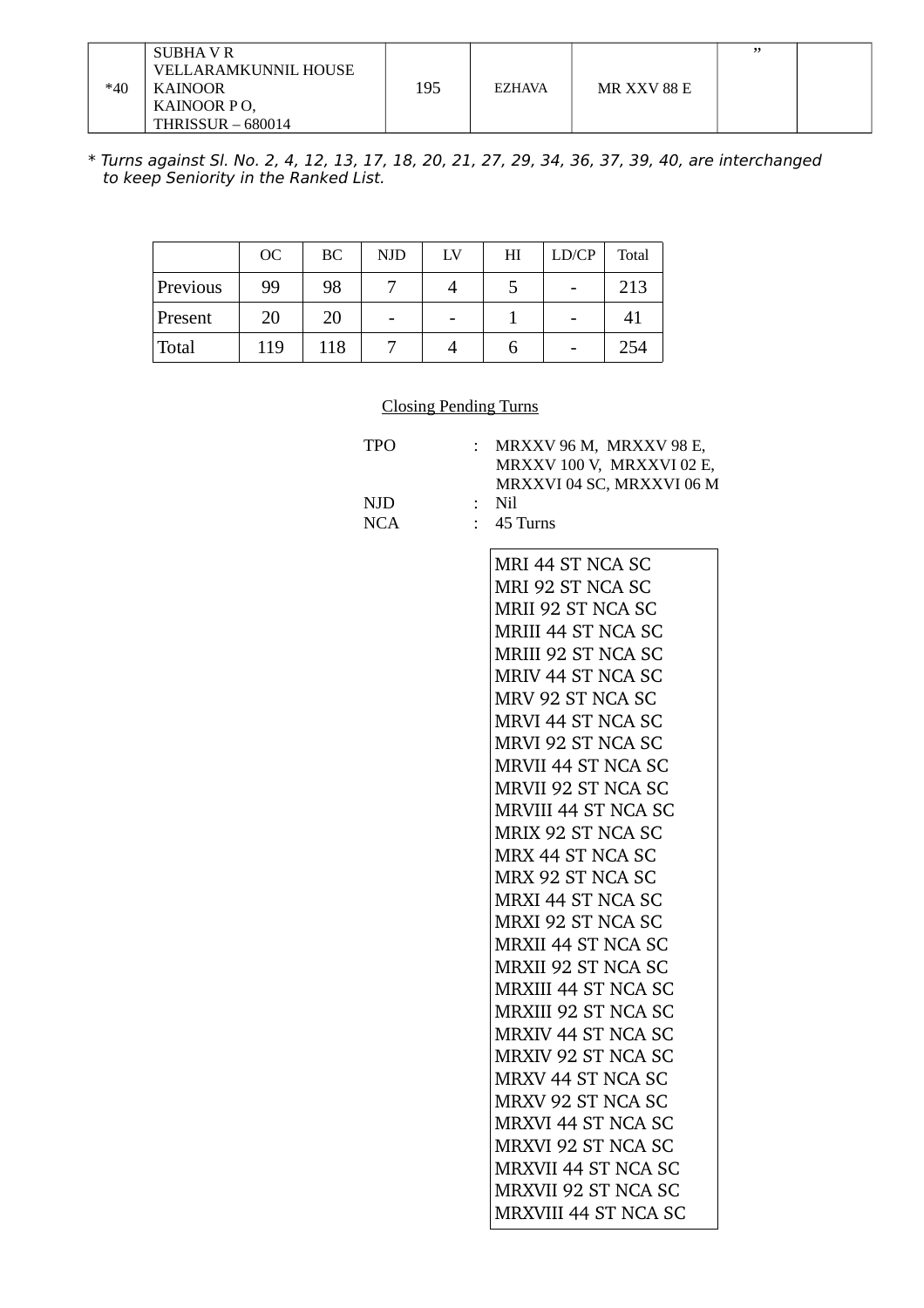| $*40$ | SUBHA V R<br>VELLARAMKUNNIL HOUSE<br>KAINOOR<br>KAINOOR PO,<br><b>THRISSUR - 680014</b> | 195 | <b>EZHAVA</b> | MR XXV 88 E | " |  |
|-------|-----------------------------------------------------------------------------------------|-----|---------------|-------------|---|--|
|-------|-----------------------------------------------------------------------------------------|-----|---------------|-------------|---|--|

<sup>\*</sup> Turns against Sl. No. 2, 4, 12, 13, 17, 18, 20, 21, 27, 29, 34, 36, 37, 39, 40, are interchanged to keep Seniority in the Ranked List.

|              | OC. | BC  | <b>NJD</b> | LV | H <sub>I</sub> | LD/CP | Total |
|--------------|-----|-----|------------|----|----------------|-------|-------|
| Previous     | 99  | 98  |            |    |                |       | 213   |
| Present      | 20  | 20  | -          |    |                |       | 41    |
| <b>Total</b> | 119 | 118 |            |    | n              |       | 254   |

## Closing Pending Turns

| TPO  | : MRXXV 96 M, MRXXV 98 E, |
|------|---------------------------|
|      | MRXXV 100 V, MRXXVI 02 E, |
|      | MRXXVI 04 SC, MRXXVI 06 M |
| NJD. | : Nil                     |
| NCA  | $\therefore$ 45 Turns     |
|      |                           |

| MRI 44 ST NCA SC            |
|-----------------------------|
| MRI 92 ST NCA SC            |
| <b>MRII 92 ST NCA SC</b>    |
| MRIII 44 ST NCA SC          |
| MRIII 92 ST NCA SC          |
| MRIV 44 ST NCA SC           |
| MRV 92 ST NCA SC            |
| <b>MRVI 44 ST NCA SC</b>    |
| <b>MRVI 92 ST NCA SC</b>    |
| <b>MRVII 44 ST NCA SC</b>   |
| MRVII 92 ST NCA SC          |
| MRVIII 44 ST NCA SC         |
| MRIX 92 ST NCA SC           |
| <b>MRX 44 ST NCA SC</b>     |
| MRX 92 ST NCA SC            |
| <b>MRXI 44 ST NCA SC</b>    |
| MRXI 92 ST NCA SC           |
| <b>MRXII 44 ST NCA SC</b>   |
| MRXII 92 ST NCA SC          |
| <b>MRXIII 44 ST NCA SC</b>  |
| MRXIII 92 ST NCA SC         |
| <b>MRXIV 44 ST NCA SC</b>   |
| <b>MRXIV 92 ST NCA SC</b>   |
| MRXV 44 ST NCA SC           |
| MRXV 92 ST NCA SC           |
| MRXVI 44 ST NCA SC          |
| MRXVI 92 ST NCA SC          |
| <b>MRXVII 44 ST NCA SC</b>  |
| <b>MRXVII 92 ST NCA SC</b>  |
| <b>MRXVIII 44 ST NCA SC</b> |